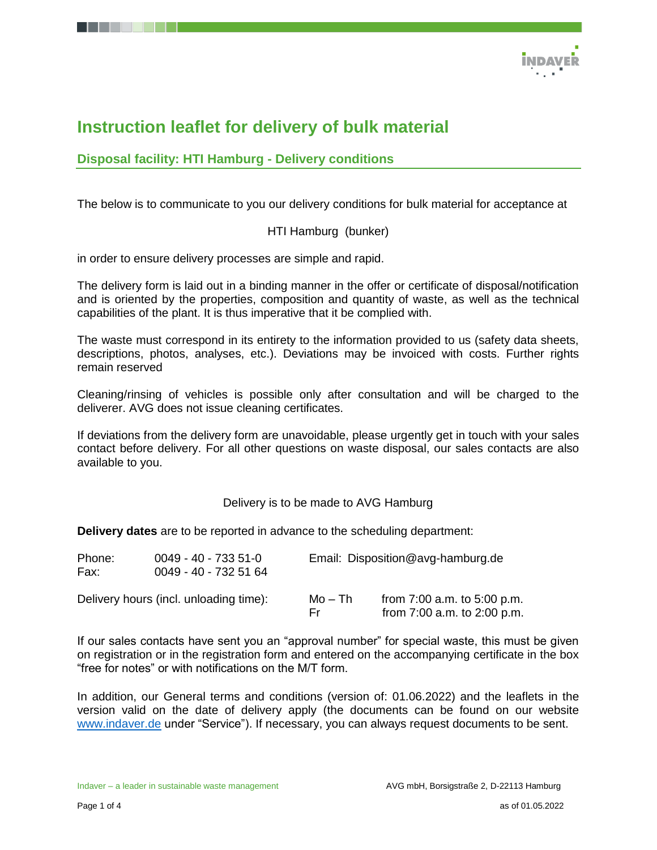

# **Instruction leaflet for delivery of bulk material**

## **Disposal facility: HTI Hamburg - Delivery conditions**

The below is to communicate to you our delivery conditions for bulk material for acceptance at

HTI Hamburg (bunker)

in order to ensure delivery processes are simple and rapid.

The delivery form is laid out in a binding manner in the offer or certificate of disposal/notification and is oriented by the properties, composition and quantity of waste, as well as the technical capabilities of the plant. It is thus imperative that it be complied with.

The waste must correspond in its entirety to the information provided to us (safety data sheets, descriptions, photos, analyses, etc.). Deviations may be invoiced with costs. Further rights remain reserved

Cleaning/rinsing of vehicles is possible only after consultation and will be charged to the deliverer. AVG does not issue cleaning certificates.

If deviations from the delivery form are unavoidable, please urgently get in touch with your sales contact before delivery. For all other questions on waste disposal, our sales contacts are also available to you.

#### Delivery is to be made to AVG Hamburg

**Delivery dates** are to be reported in advance to the scheduling department:

| Phone:<br>Fax: | $0049 - 40 - 7335 - 51 - 0$<br>0049 - 40 - 732 51 64 |                | Email: Disposition@avg-hamburg.de                              |  |  |
|----------------|------------------------------------------------------|----------------|----------------------------------------------------------------|--|--|
|                | Delivery hours (incl. unloading time):               | Mo – Th<br>Er. | from $7:00$ a.m. to $5:00$ p.m.<br>from 7:00 a.m. to 2:00 p.m. |  |  |

If our sales contacts have sent you an "approval number" for special waste, this must be given on registration or in the registration form and entered on the accompanying certificate in the box "free for notes" or with notifications on the M/T form.

In addition, our General terms and conditions (version of: 01.06.2022) and the leaflets in the version valid on the date of delivery apply (the documents can be found on our website [www.indaver.de](http://www.indaver.de/) under "Service"). If necessary, you can always request documents to be sent.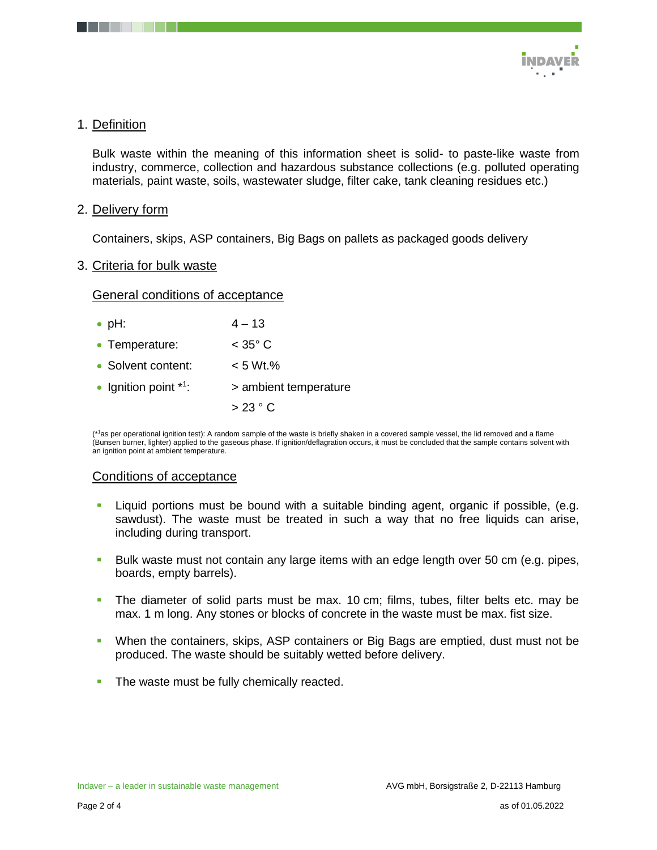

## 1. Definition

Bulk waste within the meaning of this information sheet is solid- to paste-like waste from industry, commerce, collection and hazardous substance collections (e.g. polluted operating materials, paint waste, soils, wastewater sludge, filter cake, tank cleaning residues etc.)

### 2. Delivery form

Containers, skips, ASP containers, Big Bags on pallets as packaged goods delivery

#### 3. Criteria for bulk waste

#### General conditions of acceptance

| $\bullet$ pH: | $4 - 13$ |
|---------------|----------|
|---------------|----------|

| • Temperature:          | $<$ 35 $^{\circ}$ C   |
|-------------------------|-----------------------|
| • Solvent content:      | $< 5 Wt.$ %           |
| • Ignition point $*1$ : | > ambient temperature |
|                         | >23 °C                |

(\*<sup>1</sup>as per operational ignition test): A random sample of the waste is briefly shaken in a covered sample vessel, the lid removed and a flame (Bunsen burner, lighter) applied to the gaseous phase. If ignition/deflagration occurs, it must be concluded that the sample contains solvent with an ignition point at ambient temperature.

## Conditions of acceptance

- **Liquid portions must be bound with a suitable binding agent, organic if possible, (e.g.**) sawdust). The waste must be treated in such a way that no free liquids can arise, including during transport.
- Bulk waste must not contain any large items with an edge length over 50 cm (e.g. pipes, boards, empty barrels).
- The diameter of solid parts must be max. 10 cm; films, tubes, filter belts etc. may be max. 1 m long. Any stones or blocks of concrete in the waste must be max. fist size.
- When the containers, skips, ASP containers or Big Bags are emptied, dust must not be produced. The waste should be suitably wetted before delivery.
- The waste must be fully chemically reacted.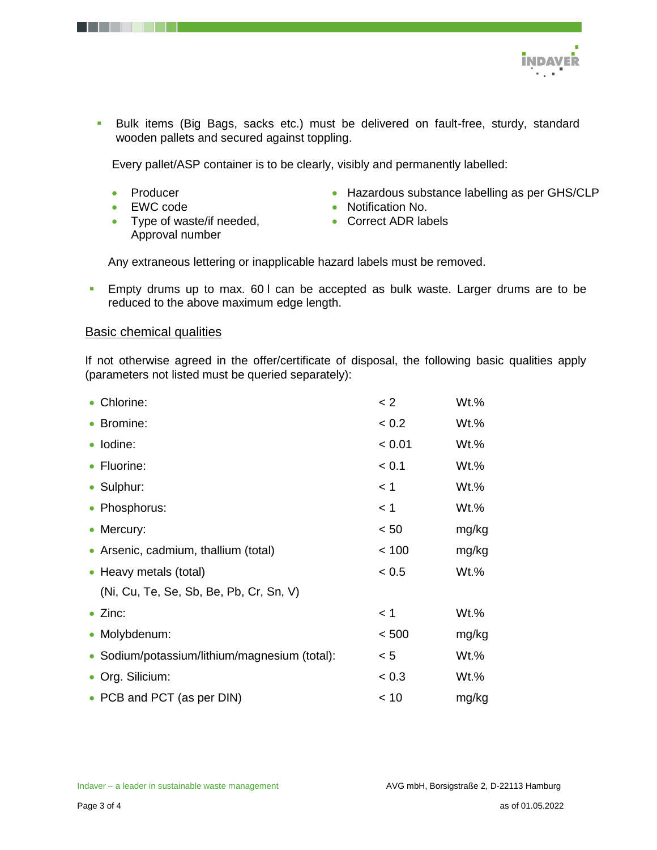

 Bulk items (Big Bags, sacks etc.) must be delivered on fault-free, sturdy, standard wooden pallets and secured against toppling.

Every pallet/ASP container is to be clearly, visibly and permanently labelled:

- Producer
- EWC code
- Type of waste/if needed, Approval number
- Hazardous substance labelling as per GHS/CLP
- Notification No.
- Correct ADR labels

Any extraneous lettering or inapplicable hazard labels must be removed.

 Empty drums up to max. 60 l can be accepted as bulk waste. Larger drums are to be reduced to the above maximum edge length.

#### Basic chemical qualities

If not otherwise agreed in the offer/certificate of disposal, the following basic qualities apply (parameters not listed must be queried separately):

| • Chlorine:                                   | < 2    | Wt.%    |  |
|-----------------------------------------------|--------|---------|--|
| • Bromine:                                    | < 0.2  | Wt.%    |  |
| · Iodine:                                     | < 0.01 | Wt.%    |  |
| • Fluorine:                                   | < 0.1  | $Wt.$ % |  |
| • Sulphur:                                    | $<$ 1  | $Wt.$ % |  |
| • Phosphorus:                                 | < 1    | Wt.%    |  |
| • Mercury:                                    | < 50   | mg/kg   |  |
| • Arsenic, cadmium, thallium (total)          | < 100  | mg/kg   |  |
| • Heavy metals (total)                        | < 0.5  | Wt.%    |  |
| (Ni, Cu, Te, Se, Sb, Be, Pb, Cr, Sn, V)       |        |         |  |
| $\bullet$ Zinc:                               | < 1    | Wt.%    |  |
| • Molybdenum:                                 | < 500  | mg/kg   |  |
| • Sodium/potassium/lithium/magnesium (total): | < 5    | Wt.%    |  |
| • Org. Silicium:                              | < 0.3  | Wt.%    |  |
| • PCB and PCT (as per DIN)                    | < 10   | mg/kg   |  |